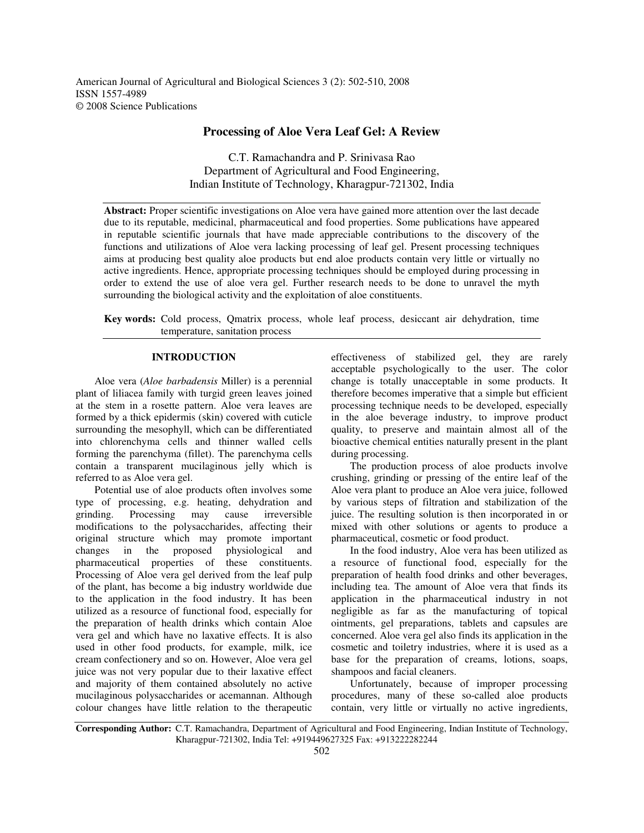American Journal of Agricultural and Biological Sciences 3 (2): 502-510, 2008 ISSN 1557-4989 © 2008 Science Publications

# **Processing of Aloe Vera Leaf Gel: A Review**

C.T. Ramachandra and P. Srinivasa Rao Department of Agricultural and Food Engineering, Indian Institute of Technology, Kharagpur-721302, India

**Abstract:** Proper scientific investigations on Aloe vera have gained more attention over the last decade due to its reputable, medicinal, pharmaceutical and food properties. Some publications have appeared in reputable scientific journals that have made appreciable contributions to the discovery of the functions and utilizations of Aloe vera lacking processing of leaf gel. Present processing techniques aims at producing best quality aloe products but end aloe products contain very little or virtually no active ingredients. Hence, appropriate processing techniques should be employed during processing in order to extend the use of aloe vera gel. Further research needs to be done to unravel the myth surrounding the biological activity and the exploitation of aloe constituents.

**Key words:** Cold process, Qmatrix process, whole leaf process, desiccant air dehydration, time temperature, sanitation process

#### **INTRODUCTION**

Aloe vera (*Aloe barbadensis* Miller) is a perennial plant of liliacea family with turgid green leaves joined at the stem in a rosette pattern. Aloe vera leaves are formed by a thick epidermis (skin) covered with cuticle surrounding the mesophyll, which can be differentiated into chlorenchyma cells and thinner walled cells forming the parenchyma (fillet). The parenchyma cells contain a transparent mucilaginous jelly which is referred to as Aloe vera gel.

Potential use of aloe products often involves some type of processing, e.g. heating, dehydration and grinding. Processing may cause irreversible modifications to the polysaccharides, affecting their original structure which may promote important changes in the proposed physiological and pharmaceutical properties of these constituents. Processing of Aloe vera gel derived from the leaf pulp of the plant, has become a big industry worldwide due to the application in the food industry. It has been utilized as a resource of functional food, especially for the preparation of health drinks which contain Aloe vera gel and which have no laxative effects. It is also used in other food products, for example, milk, ice cream confectionery and so on. However, Aloe vera gel juice was not very popular due to their laxative effect and majority of them contained absolutely no active mucilaginous polysaccharides or acemannan. Although colour changes have little relation to the therapeutic

effectiveness of stabilized gel, they are rarely acceptable psychologically to the user. The color change is totally unacceptable in some products. It therefore becomes imperative that a simple but efficient processing technique needs to be developed, especially in the aloe beverage industry, to improve product quality, to preserve and maintain almost all of the bioactive chemical entities naturally present in the plant during processing.

The production process of aloe products involve crushing, grinding or pressing of the entire leaf of the Aloe vera plant to produce an Aloe vera juice, followed by various steps of filtration and stabilization of the juice. The resulting solution is then incorporated in or mixed with other solutions or agents to produce a pharmaceutical, cosmetic or food product.

In the food industry, Aloe vera has been utilized as a resource of functional food, especially for the preparation of health food drinks and other beverages, including tea. The amount of Aloe vera that finds its application in the pharmaceutical industry in not negligible as far as the manufacturing of topical ointments, gel preparations, tablets and capsules are concerned. Aloe vera gel also finds its application in the cosmetic and toiletry industries, where it is used as a base for the preparation of creams, lotions, soaps, shampoos and facial cleaners.

Unfortunately, because of improper processing procedures, many of these so-called aloe products contain, very little or virtually no active ingredients,

**Corresponding Author:** C.T. Ramachandra, Department of Agricultural and Food Engineering, Indian Institute of Technology, Kharagpur-721302, India Tel: +919449627325 Fax: +913222282244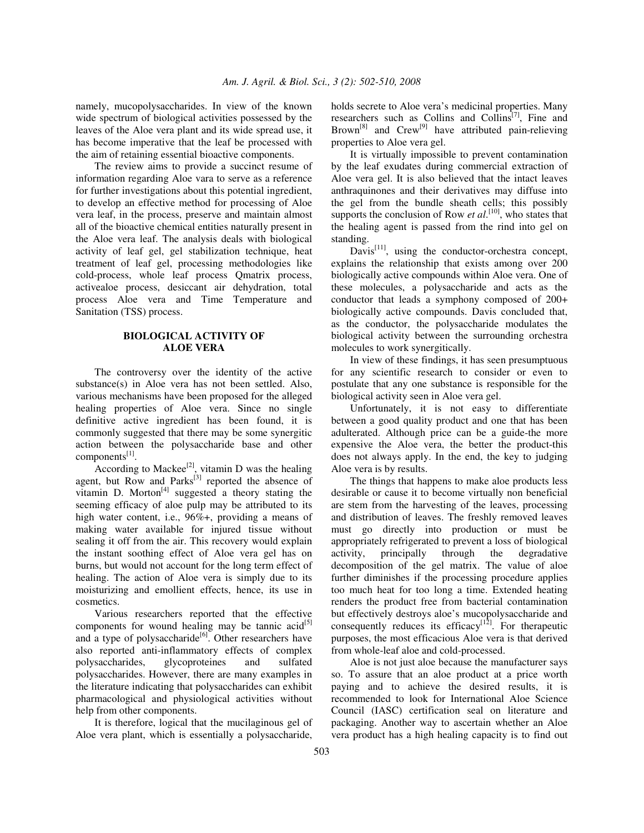namely, mucopolysaccharides. In view of the known wide spectrum of biological activities possessed by the leaves of the Aloe vera plant and its wide spread use, it has become imperative that the leaf be processed with the aim of retaining essential bioactive components.

The review aims to provide a succinct resume of information regarding Aloe vara to serve as a reference for further investigations about this potential ingredient, to develop an effective method for processing of Aloe vera leaf, in the process, preserve and maintain almost all of the bioactive chemical entities naturally present in the Aloe vera leaf. The analysis deals with biological activity of leaf gel, gel stabilization technique, heat treatment of leaf gel, processing methodologies like cold-process, whole leaf process Qmatrix process, activealoe process, desiccant air dehydration, total process Aloe vera and Time Temperature and Sanitation (TSS) process.

## **BIOLOGICAL ACTIVITY OF ALOE VERA**

The controversy over the identity of the active substance(s) in Aloe vera has not been settled. Also, various mechanisms have been proposed for the alleged healing properties of Aloe vera. Since no single definitive active ingredient has been found, it is commonly suggested that there may be some synergitic action between the polysaccharide base and other components<sup>[1]</sup>.

According to Mackee $^{[2]}$ , vitamin D was the healing agent, but Row and Parks<sup>[3]</sup> reported the absence of vitamin D. Morton $^{[4]}$  suggested a theory stating the seeming efficacy of aloe pulp may be attributed to its high water content, i.e., 96%+, providing a means of making water available for injured tissue without sealing it off from the air. This recovery would explain the instant soothing effect of Aloe vera gel has on burns, but would not account for the long term effect of healing. The action of Aloe vera is simply due to its moisturizing and emollient effects, hence, its use in cosmetics.

Various researchers reported that the effective components for wound healing may be tannic acid<sup>[5]</sup> and a type of polysaccharide<sup>[6]</sup>. Other researchers have also reported anti-inflammatory effects of complex polysaccharides, glycoproteines and sulfated polysaccharides. However, there are many examples in the literature indicating that polysaccharides can exhibit pharmacological and physiological activities without help from other components.

It is therefore, logical that the mucilaginous gel of Aloe vera plant, which is essentially a polysaccharide, holds secrete to Aloe vera's medicinal properties. Many researchers such as Collins and Collins<sup>[7]</sup>, Fine and Brown<sup>[8]</sup> and Crew<sup>[9]</sup> have attributed pain-relieving properties to Aloe vera gel.

It is virtually impossible to prevent contamination by the leaf exudates during commercial extraction of Aloe vera gel. It is also believed that the intact leaves anthraquinones and their derivatives may diffuse into the gel from the bundle sheath cells; this possibly supports the conclusion of Row *et al.*<sup>[10]</sup>, who states that the healing agent is passed from the rind into gel on standing.

 $Davis^{[11]}$ , using the conductor-orchestra concept, explains the relationship that exists among over 200 biologically active compounds within Aloe vera. One of these molecules, a polysaccharide and acts as the conductor that leads a symphony composed of 200+ biologically active compounds. Davis concluded that, as the conductor, the polysaccharide modulates the biological activity between the surrounding orchestra molecules to work synergitically.

In view of these findings, it has seen presumptuous for any scientific research to consider or even to postulate that any one substance is responsible for the biological activity seen in Aloe vera gel.

Unfortunately, it is not easy to differentiate between a good quality product and one that has been adulterated. Although price can be a guide-the more expensive the Aloe vera, the better the product-this does not always apply. In the end, the key to judging Aloe vera is by results.

The things that happens to make aloe products less desirable or cause it to become virtually non beneficial are stem from the harvesting of the leaves, processing and distribution of leaves. The freshly removed leaves must go directly into production or must be appropriately refrigerated to prevent a loss of biological activity, principally through the degradative decomposition of the gel matrix. The value of aloe further diminishes if the processing procedure applies too much heat for too long a time. Extended heating renders the product free from bacterial contamination but effectively destroys aloe's mucopolysaccharide and consequently reduces its efficacy<sup>[12]</sup>. For the rapeutic purposes, the most efficacious Aloe vera is that derived from whole-leaf aloe and cold-processed.

Aloe is not just aloe because the manufacturer says so. To assure that an aloe product at a price worth paying and to achieve the desired results, it is recommended to look for International Aloe Science Council (IASC) certification seal on literature and packaging. Another way to ascertain whether an Aloe vera product has a high healing capacity is to find out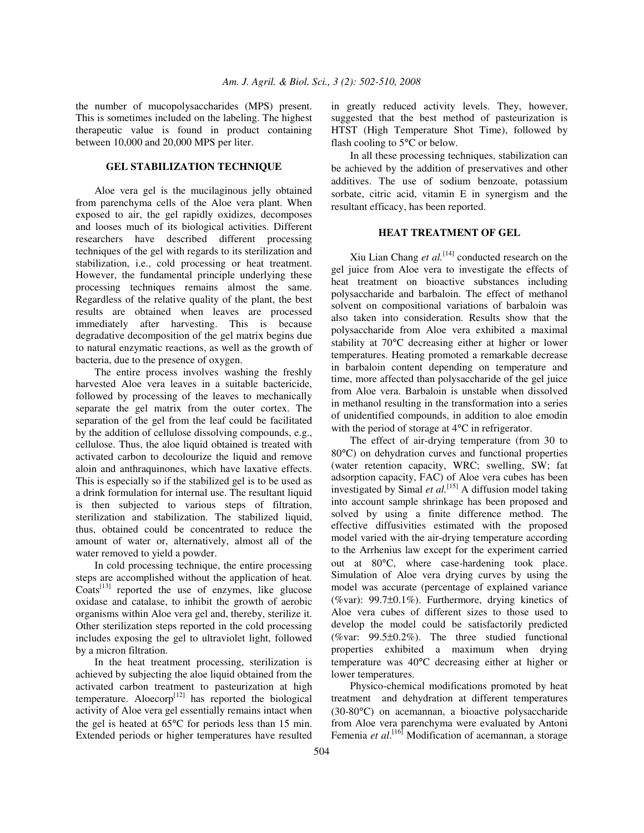the number of mucopolysaccharides (MPS) present. This is sometimes included on the labeling. The highest therapeutic value is found in product containing between 10,000 and 20,000 MPS per liter.

## **GEL STABILIZATION TECHNIQUE**

Aloe vera gel is the mucilaginous jelly obtained from parenchyma cells of the Aloe vera plant. When exposed to air, the gel rapidly oxidizes, decomposes and looses much of its biological activities. Different researchers have described different processing techniques of the gel with regards to its sterilization and stabilization, i.e., cold processing or heat treatment. However, the fundamental principle underlying these processing techniques remains almost the same. Regardless of the relative quality of the plant, the best results are obtained when leaves are processed immediately after harvesting. This is because degradative decomposition of the gel matrix begins due to natural enzymatic reactions, as well as the growth of bacteria, due to the presence of oxygen.

The entire process involves washing the freshly harvested Aloe vera leaves in a suitable bactericide, followed by processing of the leaves to mechanically separate the gel matrix from the outer cortex. The separation of the gel from the leaf could be facilitated by the addition of cellulose dissolving compounds, e.g., cellulose. Thus, the aloe liquid obtained is treated with activated carbon to decolourize the liquid and remove aloin and anthraquinones, which have laxative effects. This is especially so if the stabilized gel is to be used as a drink formulation for internal use. The resultant liquid is then subjected to various steps of filtration, sterilization and stabilization. The stabilized liquid, thus, obtained could be concentrated to reduce the amount of water or, alternatively, almost all of the water removed to yield a powder.

In cold processing technique, the entire processing steps are accomplished without the application of heat. Coats<sup>[13]</sup> reported the use of enzymes, like glucose oxidase and catalase, to inhibit the growth of aerobic organisms within Aloe vera gel and, thereby, sterilize it. Other sterilization steps reported in the cold processing includes exposing the gel to ultraviolet light, followed by a micron filtration.

In the heat treatment processing, sterilization is achieved by subjecting the aloe liquid obtained from the activated carbon treatment to pasteurization at high temperature. Aloecorp $^{[12]}$  has reported the biological activity of Aloe vera gel essentially remains intact when the gel is heated at 65°C for periods less than 15 min. Extended periods or higher temperatures have resulted in greatly reduced activity levels. They, however, suggested that the best method of pasteurization is HTST (High Temperature Shot Time), followed by flash cooling to 5°C or below.

In all these processing techniques, stabilization can be achieved by the addition of preservatives and other additives. The use of sodium benzoate, potassium sorbate, citric acid, vitamin E in synergism and the resultant efficacy, has been reported.

## **HEAT TREATMENT OF GEL**

Xiu Lian Chang *et al.* [14] conducted research on the gel juice from Aloe vera to investigate the effects of heat treatment on bioactive substances including polysaccharide and barbaloin. The effect of methanol solvent on compositional variations of barbaloin was also taken into consideration. Results show that the polysaccharide from Aloe vera exhibited a maximal stability at 70°C decreasing either at higher or lower temperatures. Heating promoted a remarkable decrease in barbaloin content depending on temperature and time, more affected than polysaccharide of the gel juice from Aloe vera. Barbaloin is unstable when dissolved in methanol resulting in the transformation into a series of unidentified compounds, in addition to aloe emodin with the period of storage at 4°C in refrigerator.

The effect of air-drying temperature (from 30 to 80°C) on dehydration curves and functional properties (water retention capacity, WRC; swelling, SW; fat adsorption capacity, FAC) of Aloe vera cubes has been investigated by Simal *et al.* [15] A diffusion model taking into account sample shrinkage has been proposed and solved by using a finite difference method. The effective diffusivities estimated with the proposed model varied with the air-drying temperature according to the Arrhenius law except for the experiment carried out at 80°C, where case-hardening took place. Simulation of Aloe vera drying curves by using the model was accurate (percentage of explained variance (%var): 99.7 $\pm$ 0.1%). Furthermore, drying kinetics of Aloe vera cubes of different sizes to those used to develop the model could be satisfactorily predicted (%var: 99.5±0.2%). The three studied functional properties exhibited a maximum when drying temperature was 40°C decreasing either at higher or lower temperatures.

Physico-chemical modifications promoted by heat treatment and dehydration at different temperatures (30-80°C) on acemannan, a bioactive polysaccharide from Aloe vera parenchyma were evaluated by Antoni Femenia et al.<sup>[16]</sup> Modification of acemannan, a storage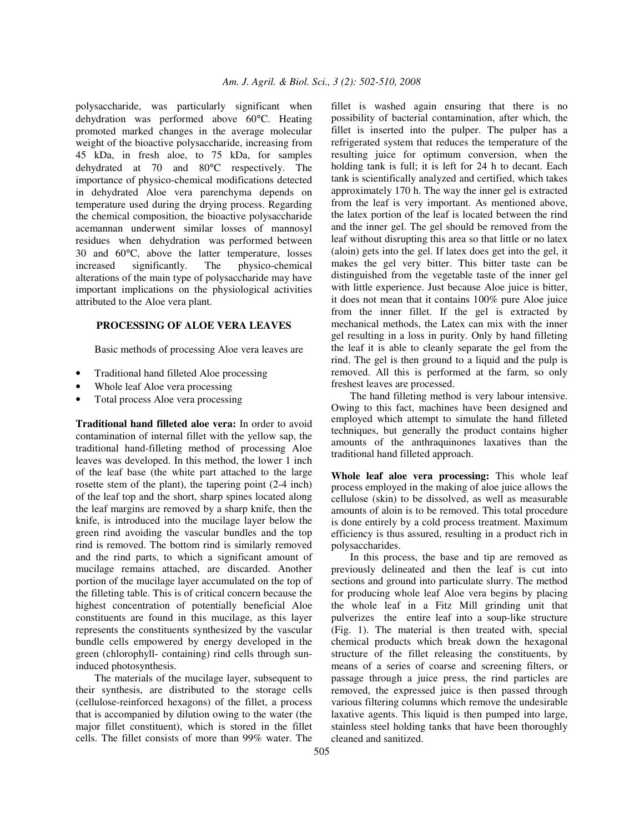polysaccharide, was particularly significant when dehydration was performed above 60°C. Heating promoted marked changes in the average molecular weight of the bioactive polysaccharide, increasing from 45 kDa, in fresh aloe, to 75 kDa, for samples dehydrated at 70 and 80°C respectively. The importance of physico-chemical modifications detected in dehydrated Aloe vera parenchyma depends on temperature used during the drying process. Regarding the chemical composition, the bioactive polysaccharide acemannan underwent similar losses of mannosyl residues when dehydration was performed between 30 and 60°C, above the latter temperature, losses increased significantly. The physico-chemical alterations of the main type of polysaccharide may have important implications on the physiological activities attributed to the Aloe vera plant.

#### **PROCESSING OF ALOE VERA LEAVES**

Basic methods of processing Aloe vera leaves are

- Traditional hand filleted Aloe processing
- Whole leaf Aloe vera processing
- Total process Aloe vera processing

**Traditional hand filleted aloe vera:** In order to avoid contamination of internal fillet with the yellow sap, the traditional hand-filleting method of processing Aloe leaves was developed. In this method, the lower 1 inch of the leaf base (the white part attached to the large rosette stem of the plant), the tapering point (2-4 inch) of the leaf top and the short, sharp spines located along the leaf margins are removed by a sharp knife, then the knife, is introduced into the mucilage layer below the green rind avoiding the vascular bundles and the top rind is removed. The bottom rind is similarly removed and the rind parts, to which a significant amount of mucilage remains attached, are discarded. Another portion of the mucilage layer accumulated on the top of the filleting table. This is of critical concern because the highest concentration of potentially beneficial Aloe constituents are found in this mucilage, as this layer represents the constituents synthesized by the vascular bundle cells empowered by energy developed in the green (chlorophyll- containing) rind cells through suninduced photosynthesis.

The materials of the mucilage layer, subsequent to their synthesis, are distributed to the storage cells (cellulose-reinforced hexagons) of the fillet, a process that is accompanied by dilution owing to the water (the major fillet constituent), which is stored in the fillet cells. The fillet consists of more than 99% water. The fillet is washed again ensuring that there is no possibility of bacterial contamination, after which, the fillet is inserted into the pulper. The pulper has a refrigerated system that reduces the temperature of the resulting juice for optimum conversion, when the holding tank is full; it is left for 24 h to decant. Each tank is scientifically analyzed and certified, which takes approximately 170 h. The way the inner gel is extracted from the leaf is very important. As mentioned above, the latex portion of the leaf is located between the rind and the inner gel. The gel should be removed from the leaf without disrupting this area so that little or no latex (aloin) gets into the gel. If latex does get into the gel, it makes the gel very bitter. This bitter taste can be distinguished from the vegetable taste of the inner gel with little experience. Just because Aloe juice is bitter, it does not mean that it contains 100% pure Aloe juice from the inner fillet. If the gel is extracted by mechanical methods, the Latex can mix with the inner gel resulting in a loss in purity. Only by hand filleting the leaf it is able to cleanly separate the gel from the rind. The gel is then ground to a liquid and the pulp is removed. All this is performed at the farm, so only freshest leaves are processed.

The hand filleting method is very labour intensive. Owing to this fact, machines have been designed and employed which attempt to simulate the hand filleted techniques, but generally the product contains higher amounts of the anthraquinones laxatives than the traditional hand filleted approach.

**Whole leaf aloe vera processing:** This whole leaf process employed in the making of aloe juice allows the cellulose (skin) to be dissolved, as well as measurable amounts of aloin is to be removed. This total procedure is done entirely by a cold process treatment. Maximum efficiency is thus assured, resulting in a product rich in polysaccharides.

In this process, the base and tip are removed as previously delineated and then the leaf is cut into sections and ground into particulate slurry. The method for producing whole leaf Aloe vera begins by placing the whole leaf in a Fitz Mill grinding unit that pulverizes the entire leaf into a soup-like structure (Fig. 1). The material is then treated with, special chemical products which break down the hexagonal structure of the fillet releasing the constituents, by means of a series of coarse and screening filters, or passage through a juice press, the rind particles are removed, the expressed juice is then passed through various filtering columns which remove the undesirable laxative agents. This liquid is then pumped into large, stainless steel holding tanks that have been thoroughly cleaned and sanitized.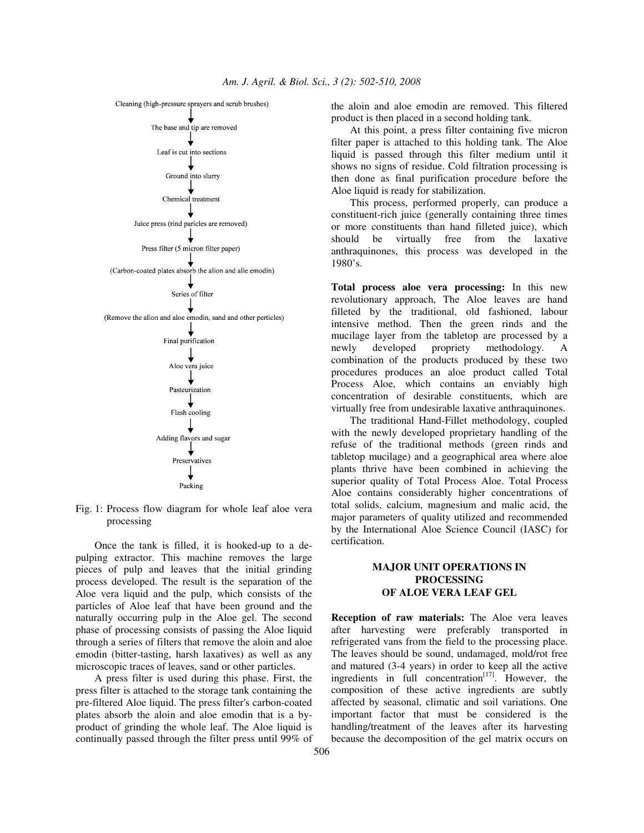

Fig. 1: Process flow diagram for whole leaf aloe vera processing

Once the tank is filled, it is hooked-up to a depulping extractor. This machine removes the large pieces of pulp and leaves that the initial grinding process developed. The result is the separation of the Aloe vera liquid and the pulp, which consists of the particles of Aloe leaf that have been ground and the naturally occurring pulp in the Aloe gel. The second phase of processing consists of passing the Aloe liquid through a series of filters that remove the aloin and aloe emodin (bitter-tasting, harsh laxatives) as well as any microscopic traces of leaves, sand or other particles.

A press filter is used during this phase. First, the press filter is attached to the storage tank containing the pre-filtered Aloe liquid. The press filter's carbon-coated plates absorb the aloin and aloe emodin that is a byproduct of grinding the whole leaf. The Aloe liquid is continually passed through the filter press until 99% of the aloin and aloe emodin are removed. This filtered product is then placed in a second holding tank.

At this point, a press filter containing five micron filter paper is attached to this holding tank. The Aloe liquid is passed through this filter medium until it shows no signs of residue. Cold filtration processing is then done as final purification procedure before the Aloe liquid is ready for stabilization.

This process, performed properly, can produce a constituent-rich juice (generally containing three times or more constituents than hand filleted juice), which should be virtually free from the laxative anthraquinones, this process was developed in the 1980's.

**Total process aloe vera processing:** In this new revolutionary approach, The Aloe leaves are hand filleted by the traditional, old fashioned, labour intensive method. Then the green rinds and the mucilage layer from the tabletop are processed by a newly developed propriety methodology. A combination of the products produced by these two procedures produces an aloe product called Total Process Aloe, which contains an enviably high concentration of desirable constituents, which are virtually free from undesirable laxative anthraquinones.

The traditional Hand-Fillet methodology, coupled with the newly developed proprietary handling of the refuse of the traditional methods (green rinds and tabletop mucilage) and a geographical area where aloe plants thrive have been combined in achieving the superior quality of Total Process Aloe. Total Process Aloe contains considerably higher concentrations of total solids, calcium, magnesium and malic acid, the major parameters of quality utilized and recommended by the International Aloe Science Council (IASC) for certification.

# **MAJOR UNIT OPERATIONS IN PROCESSING OF ALOE VERA LEAF GEL**

**Reception of raw materials:** The Aloe vera leaves after harvesting were preferably transported in refrigerated vans from the field to the processing place. The leaves should be sound, undamaged, mold/rot free and matured (3-4 years) in order to keep all the active ingredients in full concentration $\left[17\right]$ . However, the composition of these active ingredients are subtly affected by seasonal, climatic and soil variations. One important factor that must be considered is the handling/treatment of the leaves after its harvesting because the decomposition of the gel matrix occurs on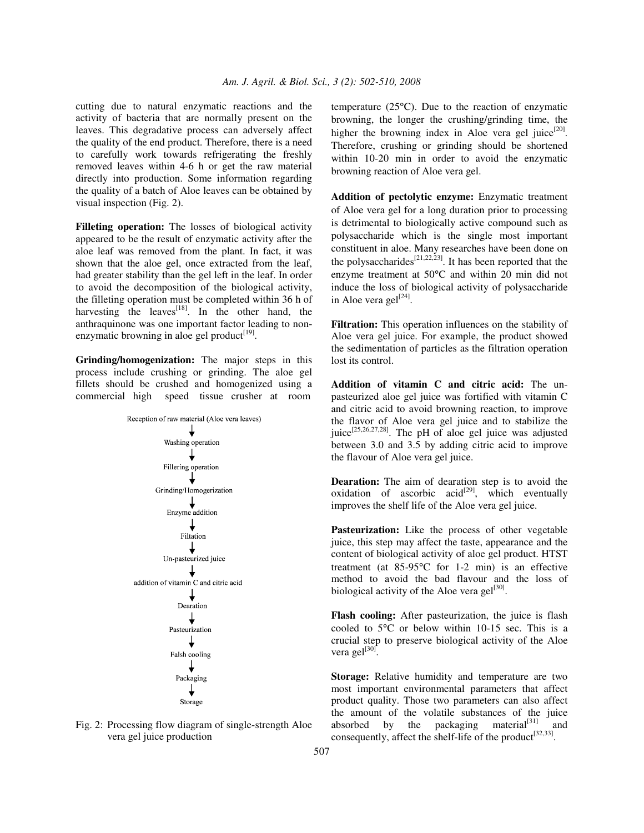cutting due to natural enzymatic reactions and the activity of bacteria that are normally present on the leaves. This degradative process can adversely affect the quality of the end product. Therefore, there is a need to carefully work towards refrigerating the freshly removed leaves within 4-6 h or get the raw material directly into production. Some information regarding the quality of a batch of Aloe leaves can be obtained by visual inspection (Fig. 2).

**Filleting operation:** The losses of biological activity appeared to be the result of enzymatic activity after the aloe leaf was removed from the plant. In fact, it was shown that the aloe gel, once extracted from the leaf, had greater stability than the gel left in the leaf. In order to avoid the decomposition of the biological activity, the filleting operation must be completed within 36 h of harvesting the leaves<sup>[18]</sup>. In the other hand, the anthraquinone was one important factor leading to nonenzymatic browning in aloe gel product<sup>[19]</sup>.

**Grinding/homogenization:** The major steps in this process include crushing or grinding. The aloe gel fillets should be crushed and homogenized using a commercial high speed tissue crusher at room





temperature (25°C). Due to the reaction of enzymatic browning, the longer the crushing/grinding time, the higher the browning index in Aloe vera gel juice<sup>[20]</sup>. Therefore, crushing or grinding should be shortened within 10-20 min in order to avoid the enzymatic browning reaction of Aloe vera gel.

**Addition of pectolytic enzyme:** Enzymatic treatment of Aloe vera gel for a long duration prior to processing is detrimental to biologically active compound such as polysaccharide which is the single most important constituent in aloe. Many researches have been done on the polysaccharides $^{[21,22,23]}$ . It has been reported that the enzyme treatment at 50°C and within 20 min did not induce the loss of biological activity of polysaccharide in Aloe vera gel<sup>[24]</sup>.

**Filtration:** This operation influences on the stability of Aloe vera gel juice. For example, the product showed the sedimentation of particles as the filtration operation lost its control.

**Addition of vitamin C and citric acid:** The unpasteurized aloe gel juice was fortified with vitamin C and citric acid to avoid browning reaction, to improve the flavor of Aloe vera gel juice and to stabilize the juice<sup>[25,26,27,28]</sup>. The pH of aloe gel juice was adjusted between 3.0 and 3.5 by adding citric acid to improve the flavour of Aloe vera gel juice.

**Dearation:** The aim of dearation step is to avoid the oxidation of ascorbic  $\arctan(29)$ , which eventually improves the shelf life of the Aloe vera gel juice.

**Pasteurization:** Like the process of other vegetable juice, this step may affect the taste, appearance and the content of biological activity of aloe gel product. HTST treatment (at 85-95°C for 1-2 min) is an effective method to avoid the bad flavour and the loss of biological activity of the Aloe vera gel<sup>[30]</sup>.

**Flash cooling:** After pasteurization, the juice is flash cooled to 5°C or below within 10-15 sec. This is a crucial step to preserve biological activity of the Aloe vera gel<sup>[30]</sup>.

**Storage:** Relative humidity and temperature are two most important environmental parameters that affect product quality. Those two parameters can also affect the amount of the volatile substances of the juice absorbed by the packaging material<sup>[31]</sup> and consequently, affect the shelf-life of the product<sup>[32,33]</sup>.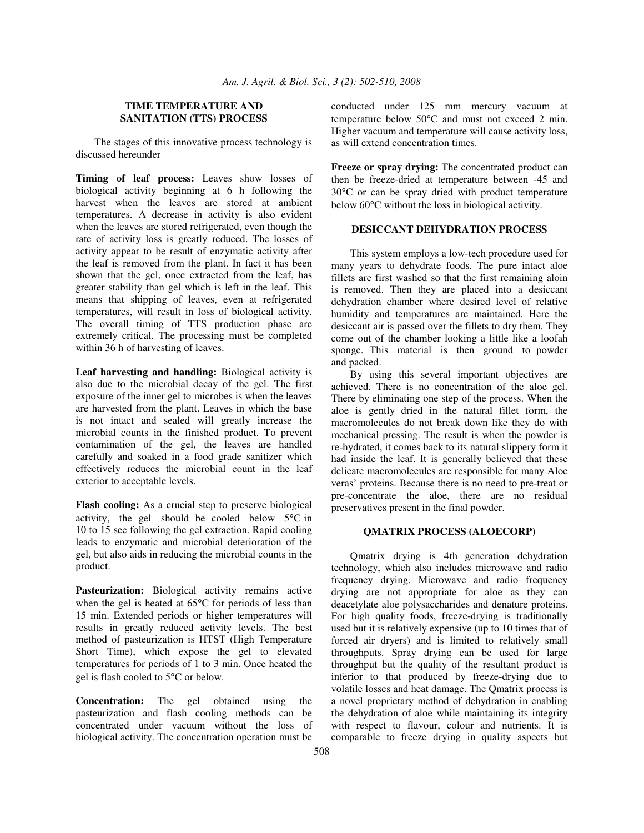### **TIME TEMPERATURE AND SANITATION (TTS) PROCESS**

The stages of this innovative process technology is discussed hereunder

**Timing of leaf process:** Leaves show losses of biological activity beginning at 6 h following the harvest when the leaves are stored at ambient temperatures. A decrease in activity is also evident when the leaves are stored refrigerated, even though the rate of activity loss is greatly reduced. The losses of activity appear to be result of enzymatic activity after the leaf is removed from the plant. In fact it has been shown that the gel, once extracted from the leaf, has greater stability than gel which is left in the leaf. This means that shipping of leaves, even at refrigerated temperatures, will result in loss of biological activity. The overall timing of TTS production phase are extremely critical. The processing must be completed within 36 h of harvesting of leaves.

**Leaf harvesting and handling:** Biological activity is also due to the microbial decay of the gel. The first exposure of the inner gel to microbes is when the leaves are harvested from the plant. Leaves in which the base is not intact and sealed will greatly increase the microbial counts in the finished product. To prevent contamination of the gel, the leaves are handled carefully and soaked in a food grade sanitizer which effectively reduces the microbial count in the leaf exterior to acceptable levels.

**Flash cooling:** As a crucial step to preserve biological activity, the gel should be cooled below 5°C in 10 to 15 sec following the gel extraction. Rapid cooling leads to enzymatic and microbial deterioration of the gel, but also aids in reducing the microbial counts in the product.

**Pasteurization:** Biological activity remains active when the gel is heated at 65°C for periods of less than 15 min. Extended periods or higher temperatures will results in greatly reduced activity levels. The best method of pasteurization is HTST (High Temperature Short Time), which expose the gel to elevated temperatures for periods of 1 to 3 min. Once heated the gel is flash cooled to 5°C or below.

**Concentration:** The gel obtained using the pasteurization and flash cooling methods can be concentrated under vacuum without the loss of biological activity. The concentration operation must be conducted under 125 mm mercury vacuum at temperature below 50°C and must not exceed 2 min. Higher vacuum and temperature will cause activity loss, as will extend concentration times.

**Freeze or spray drying:** The concentrated product can then be freeze-dried at temperature between -45 and 30°C or can be spray dried with product temperature below 60°C without the loss in biological activity.

#### **DESICCANT DEHYDRATION PROCESS**

This system employs a low-tech procedure used for many years to dehydrate foods. The pure intact aloe fillets are first washed so that the first remaining aloin is removed. Then they are placed into a desiccant dehydration chamber where desired level of relative humidity and temperatures are maintained. Here the desiccant air is passed over the fillets to dry them. They come out of the chamber looking a little like a loofah sponge. This material is then ground to powder and packed.

By using this several important objectives are achieved. There is no concentration of the aloe gel. There by eliminating one step of the process. When the aloe is gently dried in the natural fillet form, the macromolecules do not break down like they do with mechanical pressing. The result is when the powder is re-hydrated, it comes back to its natural slippery form it had inside the leaf. It is generally believed that these delicate macromolecules are responsible for many Aloe veras' proteins. Because there is no need to pre-treat or pre-concentrate the aloe, there are no residual preservatives present in the final powder.

### **QMATRIX PROCESS (ALOECORP)**

Qmatrix drying is 4th generation dehydration technology, which also includes microwave and radio frequency drying. Microwave and radio frequency drying are not appropriate for aloe as they can deacetylate aloe polysaccharides and denature proteins. For high quality foods, freeze-drying is traditionally used but it is relatively expensive (up to 10 times that of forced air dryers) and is limited to relatively small throughputs. Spray drying can be used for large throughput but the quality of the resultant product is inferior to that produced by freeze-drying due to volatile losses and heat damage. The Qmatrix process is a novel proprietary method of dehydration in enabling the dehydration of aloe while maintaining its integrity with respect to flavour, colour and nutrients. It is comparable to freeze drying in quality aspects but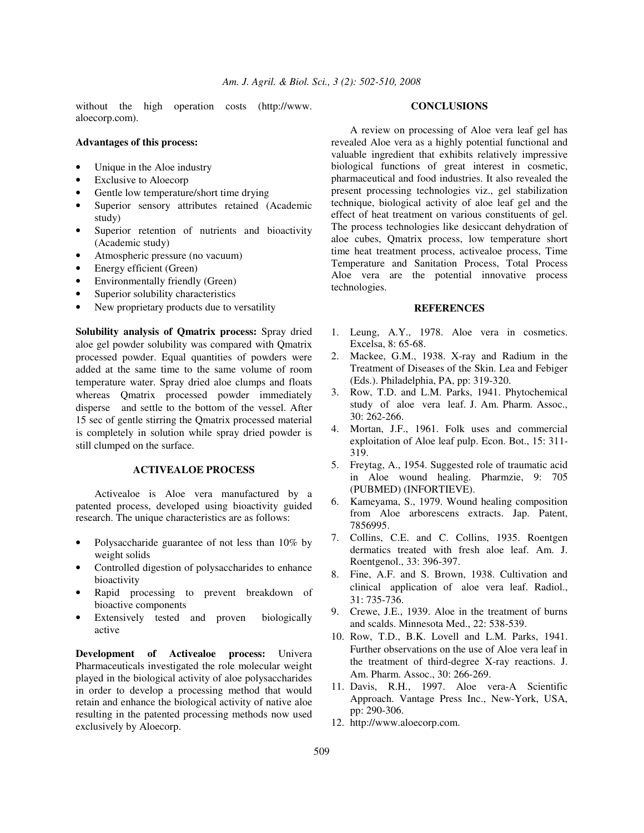without the high operation costs (http://www. aloecorp.com).

#### **Advantages of this process:**

- Unique in the Aloe industry
- Exclusive to Aloecorp
- Gentle low temperature/short time drying
- Superior sensory attributes retained (Academic study)
- Superior retention of nutrients and bioactivity (Academic study)
- Atmospheric pressure (no vacuum)
- Energy efficient (Green)
- Environmentally friendly (Green)
- Superior solubility characteristics
- New proprietary products due to versatility

**Solubility analysis of Qmatrix process:** Spray dried aloe gel powder solubility was compared with Qmatrix processed powder. Equal quantities of powders were added at the same time to the same volume of room temperature water. Spray dried aloe clumps and floats whereas Qmatrix processed powder immediately disperse and settle to the bottom of the vessel. After 15 sec of gentle stirring the Qmatrix processed material is completely in solution while spray dried powder is still clumped on the surface.

### **ACTIVEALOE PROCESS**

Activealoe is Aloe vera manufactured by a patented process, developed using bioactivity guided research. The unique characteristics are as follows:

- Polysaccharide guarantee of not less than 10% by weight solids
- Controlled digestion of polysaccharides to enhance bioactivity
- Rapid processing to prevent breakdown of bioactive components
- Extensively tested and proven biologically active

**Development of Activealoe process:** Univera Pharmaceuticals investigated the role molecular weight played in the biological activity of aloe polysaccharides in order to develop a processing method that would retain and enhance the biological activity of native aloe resulting in the patented processing methods now used exclusively by Aloecorp.

## **CONCLUSIONS**

A review on processing of Aloe vera leaf gel has revealed Aloe vera as a highly potential functional and valuable ingredient that exhibits relatively impressive biological functions of great interest in cosmetic, pharmaceutical and food industries. It also revealed the present processing technologies viz., gel stabilization technique, biological activity of aloe leaf gel and the effect of heat treatment on various constituents of gel. The process technologies like desiccant dehydration of aloe cubes, Qmatrix process, low temperature short time heat treatment process, activealoe process, Time Temperature and Sanitation Process, Total Process Aloe vera are the potential innovative process technologies.

#### **REFERENCES**

- 1. Leung, A.Y., 1978. Aloe vera in cosmetics. Excelsa, 8: 65-68.
- 2. Mackee, G.M., 1938. X-ray and Radium in the Treatment of Diseases of the Skin. Lea and Febiger (Eds.). Philadelphia, PA, pp: 319-320.
- 3. Row, T.D. and L.M. Parks, 1941. Phytochemical study of aloe vera leaf. J. Am. Pharm. Assoc., 30: 262-266.
- 4. Mortan, J.F., 1961. Folk uses and commercial exploitation of Aloe leaf pulp. Econ. Bot., 15: 311- 319.
- 5. Freytag, A., 1954. Suggested role of traumatic acid in Aloe wound healing. Pharmzie, 9: 705 (PUBMED) (INFORTIEVE).
- 6. Kameyama, S., 1979. Wound healing composition from Aloe arborescens extracts. Jap. Patent, 7856995.
- 7. Collins, C.E. and C. Collins, 1935. Roentgen dermatics treated with fresh aloe leaf. Am. J. Roentgenol., 33: 396-397.
- 8. Fine, A.F. and S. Brown, 1938. Cultivation and clinical application of aloe vera leaf. Radiol., 31: 735-736.
- 9. Crewe, J.E., 1939. Aloe in the treatment of burns and scalds. Minnesota Med., 22: 538-539.
- 10. Row, T.D., B.K. Lovell and L.M. Parks, 1941. Further observations on the use of Aloe vera leaf in the treatment of third-degree X-ray reactions. J. Am. Pharm. Assoc., 30: 266-269.
- 11. Davis, R.H., 1997. Aloe vera-A Scientific Approach. Vantage Press Inc., New-York, USA, pp: 290-306.
- 12. http://www.aloecorp.com.